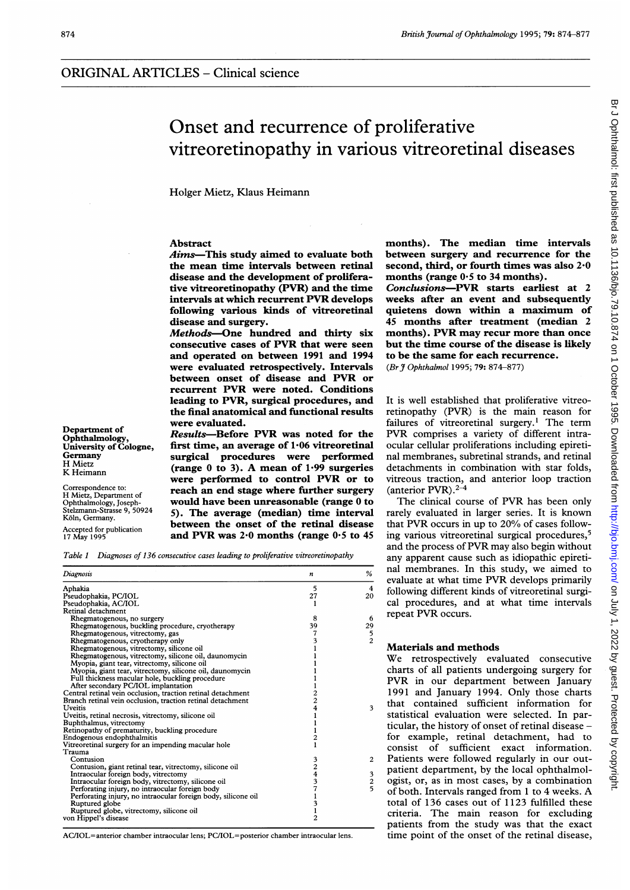# Onset and recurrence of proliferative vitreoretinopathy in various vitreoretinal diseases

Holger Mietz, Klaus Heimann

### Abstract

Aims-This study aimed to evaluate both the mean time intervals between retinal disease and the development of proliferative vitreoretinopathy (PVR) and the time intervals at which recurrent PVR develops following various kinds of vitreoretinal disease and surgery.

Methods-One hundred and thirty six consecutive cases of PVR that were seen and operated on between 1991 and 1994 were evaluated retrospectively. Intervals between onset of disease and PVR or recurrent PVR were noted. Conditions leading to PVR, surgical procedures, and the final anatomical and functional results were evaluated.

Department of<br>
Ophthalmology, Results-Before PVR was noted for the<br>
University of Cologne, first time, an average of 1.06 vitreoretinal University of Cologne, first time, an average of 1.06 vitreoretinal<br>Germany survical procedures were performed Germany surgical procedures were performed H Mietz<br>K Heimann (range 0 to 3). A mean of 1.99 surgeries were performed to control PVR or to Correspondence to: reach an end stage where further surgery would have been unreasonable (range 0 to Stelzmann-Strasse 9, 50924 5). The average (median) time interval<br>Köln, Germany. EXOM, GERMAN, BETWEEN the onset of the retinal disease Accepted for publication<br>Accepted for publication and PVR was 2.0 months (range 0.5 to 45 and PVR was  $2.0$  months (range  $0.5$  to 45

Table <sup>1</sup> Diagnoses of 136 consecutive cases leading to proliferative vitreoretinopathy

| Diagnosis                                                     | n              | %              |
|---------------------------------------------------------------|----------------|----------------|
| Aphakia                                                       | 5              | $\overline{4}$ |
| Pseudophakia, PC/IOL                                          | 27             | 20             |
| Pseudophakia, AC/IOL                                          | 1              |                |
| Retinal detachment                                            |                |                |
| Rhegmatogenous, no surgery                                    | 8              | 6              |
| Rhegmatogenous, buckling procedure, cryotherapy               | 39             | 29             |
| Rhegmatogenous, vitrectomy, gas                               |                | 5              |
| Rhegmatogenous, cryotherapy only                              | $\frac{7}{3}$  | $\overline{2}$ |
| Rhegmatogenous, vitrectomy, silicone oil                      |                |                |
| Rhegmatogenous, vitrectomy, silicone oil, daunomycin          |                |                |
| Myopia, giant tear, vitrectomy, silicone oil                  |                |                |
| Myopia, giant tear, vitrectomy, silicone oil, daunomycin      |                |                |
| Full thickness macular hole, buckling procedure               |                |                |
| After secondary PC/IOL implantation                           |                |                |
| Central retinal vein occlusion, traction retinal detachment   |                |                |
| Branch retinal vein occlusion, traction retinal detachment    | $\frac{2}{4}$  |                |
| Uveitis                                                       |                | 3              |
| Uveitis, retinal necrosis, vitrectomy, silicone oil           |                |                |
| Buphthalmus, vitrectomy                                       |                |                |
| Retinopathy of prematurity, buckling procedure                |                |                |
| Endogenous endophthalmitis                                    | $\overline{c}$ |                |
| Vitreoretinal surgery for an impending macular hole           | $\mathbf{1}$   |                |
| Trauma                                                        |                |                |
| Contusion                                                     |                | $\overline{c}$ |
| Contusion, giant retinal tear, vitrectomy, silicone oil       | 3<br>2<br>4    |                |
| Intraocular foreign body, vitrectomy                          |                |                |
| Intraocular foreign body, vitrectomy, silicone oil            | 3              | $\frac{3}{2}$  |
| Perforating injury, no intraocular foreign body               | 7              |                |
| Perforating injury, no intraocular foreign body, silicone oil | ı              |                |
| Ruptured globe                                                |                |                |
| Ruptured globe, vitrectomy, silicone oil                      | $\frac{3}{1}$  |                |
| von Hippel's disease                                          | $\overline{2}$ |                |
|                                                               |                |                |

AC/IOL=anterior chamber intraocular lens; PC/IOL=posterior chamber intraocular lens.

months). The median time intervals between surgery and recurrence for the second, third, or fourth times was also 2-0 months (range  $0.5$  to 34 months).

Conclusions-PVR starts earliest at 2 weeks after an event and subsequently quietens down within a maximum of 45 months after treatment (median 2 months). PVR may recur more than once but the time course of the disease is likely to be the same for each recurrence. (Br J Ophthalmol 1995; 79: 874-877)

It is well established that proliferative vitreoretinopathy (PVR) is the main reason for failures of vitreoretinal surgery.<sup>1</sup> The term PVR comprises <sup>a</sup> variety of different intraocular cellular proliferations including epiretinal membranes, subretinal strands, and retinal detachments in combination with star folds, vitreous traction, and anterior loop traction (anterior PVR). $2-4$ 

The clinical course of PVR has been only rarely evaluated in larger series. It is known that PVR occurs in up to 20% of cases following various vitreoretinal surgical procedures,5 and the process of PVR may also begin without any apparent cause such as idiopathic epiretinal membranes. In this study, we aimed to evaluate at what time PVR develops primarily following different kinds of vitreoretinal surgical procedures, and at what time intervals repeat PVR occurs.

## Materials and methods

We retrospectively evaluated consecutive charts of all patients undergoing surgery for PVR in our department between January 1991 and January 1994. Only those charts that contained sufficient information for statistical evaluation were selected. In particular, the history of onset of retinal disease for example, retinal detachment, had to consist of sufficient exact information. Patients were followed regularly in our outpatient department, by the local ophthalmologist, or, as in most cases, by a combination of both. Intervals ranged from <sup>1</sup> to <sup>4</sup> weeks. A total of 136 cases out of 1123 fulfilled these criteria. The main reason for excluding patients from the study was that the exact time point of the onset of the retinal disease,

H Mietz, Department of<br>Ophthalmology, Joseph-Stelzmann-Strasse 9, 50924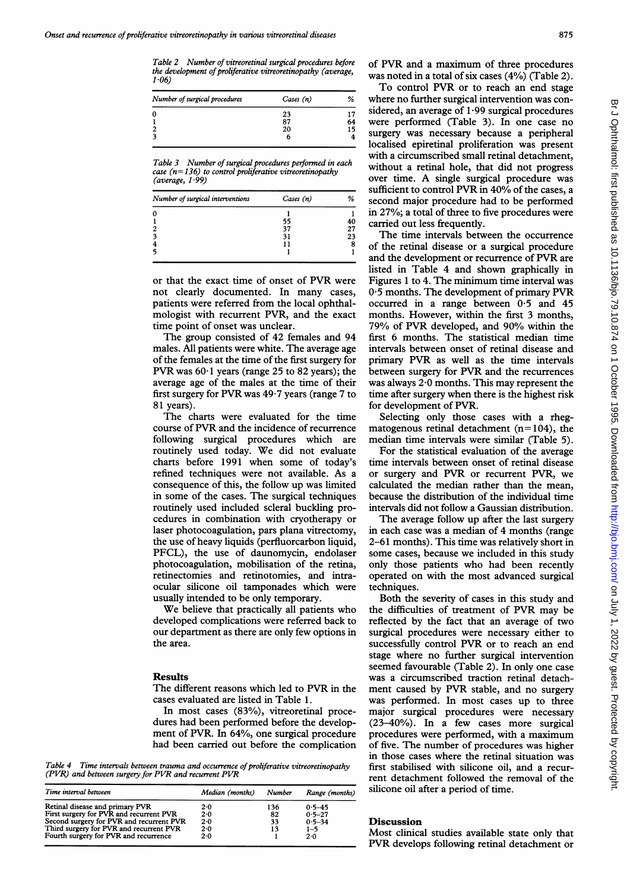Table 2 Number of vitreoretinal surgical procedures before the development of proliferative vitreoretinopathy (average,  $1.06$ 

| Number of surgical procedures | Cases (n) | %  |
|-------------------------------|-----------|----|
|                               | 23        |    |
|                               | 87        | 64 |
|                               | 20        | 15 |
|                               | o         |    |

Table 3 Number of surgical procedures performed in each case ( $n=136$ ) to control proliferative vitreoretinopathy (average,  $1.99$ )

| Number of surgical interventions | Cases (n) | %  |
|----------------------------------|-----------|----|
|                                  |           |    |
|                                  | 55        | 40 |
|                                  | 37        | 27 |
| 3                                | 31        | 23 |
|                                  |           | 8  |
|                                  |           |    |

or that the exact time of onset of PVR were not clearly documented. In many cases, patients were referred from the local ophthalmologist with recurrent PVR, and the exact time point of onset was unclear.

The group consisted of 42 females and 94 males. All patients were white. The average age of the females at the time of the first surgery for PVR was  $60.1$  years (range 25 to 82 years); the average age of the males at the time of their first surgery for PVR was 49 <sup>7</sup> years (range <sup>7</sup> to 81 years).

The charts were evaluated for the time course of PVR and the incidence of recurrence following surgical procedures which are routinely used today. We did not evaluate charts before 1991 when some of today's refined techniques were not available. As a consequence of this, the follow up was limited in some of the cases. The surgical techniques routinely used included scleral buckling procedures in combination with cryotherapy or laser photocoagulation, pars plana vitrectomy, the use of heavy liquids (perfluorcarbon liquid, PFCL), the use of daunomycin, endolaser photocoagulation, mobilisation of the retina, retinectomies and retinotomies, and intraocular silicone oil tamponades which were usually intended to be only temporary.

We believe that practically all patients who developed complications were referred back to our department as there are only few options in the area.

#### Results

The different reasons which led to PVR in the cases evaluated are listed in Table 1.

In most cases (83%), vitreoretinal procedures had been performed before the development of PVR. In 64%, one surgical procedure had been carried out before the complication

Table 4 Time intervals between trauma and occurrence of proliferative vitreoretinopathy (PVR) and between surgery for PVR and recurrent PVR

| Time interval between                    | Median (months) | Number | Range (months) |
|------------------------------------------|-----------------|--------|----------------|
| Retinal disease and primary PVR          | 2.0             | 136    | $0.5 - 45$     |
| First surgery for PVR and recurrent PVR  | 2.0             | 82     | $0.5 - 27$     |
| Second surgery for PVR and recurrent PVR | 2.0             | 33     | $0.5 - 34$     |
| Third surgery for PVR and recurrent PVR  | 2.0             | 13     | $1 - 5$        |
| Fourth surgery for PVR and recurrence    | 2.0             |        | 2.0            |

of PVR and <sup>a</sup> maximum of three procedures was noted in a total of six cases (4%) (Table 2).

To control PVR or to reach an end stage where no further surgical intervention was considered, an average of  $1.99$  surgical procedures were performed (Table 3). In one case no surgery was necessary because a peripheral localised epiretinal proliferation was present with a circumscribed small retinal detachment, without a retinal hole, that did not progress over time. A single surgical procedure was sufficient to control PVR in 40% of the cases, a second major procedure had to be performed in 27%; a total of three to five procedures were carried out less frequently.

The time intervals between the occurrence of the retinal disease or a surgical procedure and the development or recurrence of PVR are listed in Table 4 and shown graphically in Figures <sup>1</sup> to 4. The minimum time interval was 0\*5 months. The development of primary PVR occurred in a range between 0-5 and 45 months. However, within the first 3 months, 79% of PVR developed, and 90% within the first 6 months. The statistical median time intervals between onset of retinal disease and primary PVR as well as the time intervals between surgery for PVR and the recurrences was always 2-0 months. This may represent the time after surgery when there is the highest risk for development of PVR.

Selecting only those cases with a rhegmatogenous retinal detachment  $(n=104)$ , the median time intervals were similar (Table 5).

For the statistical evaluation of the average time intervals between onset of retinal disease or surgery and PVR or recurrent PVR, we calculated the median rather than the mean, because the distribution of the individual time intervals did not follow a Gaussian distribution.

The average follow up after the last surgery in each case was a median of 4 months (range 2-61 months). This time was relatively short in some cases, because we included in this study only those patients who had been recently operated on with the most advanced surgical techniques.

Both the severity of cases in this study and the difficulties of treatment of PVR may be reflected by the fact that an average of two surgical procedures were necessary either to successfully control PVR or to reach an end stage where no further surgical intervention seemed favourable (Table 2). In only one case was a circumscribed traction retinal detachment caused by PVR stable, and no surgery was performed. In most cases up to three major surgical procedures were necessary (23-40%). In a few cases more surgical procedures were performed, with <sup>a</sup> maximum of five. The number of procedures was higher in those cases where the retinal situation was first stabilised with silicone oil, and a recurrent detachment followed the removal of the silicone oil after a period of time.

#### Discussion

Most clinical studies available state only that PVR develops following retinal detachment or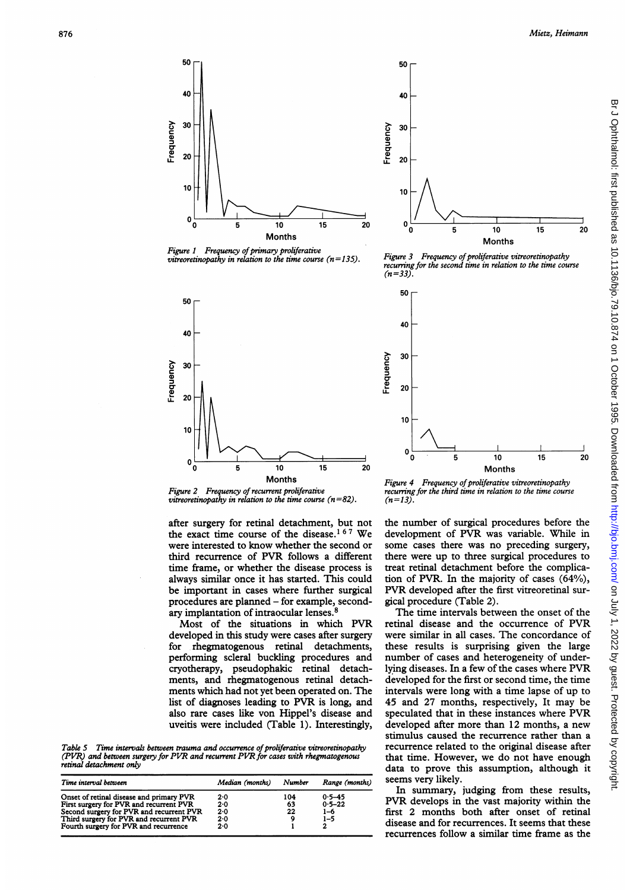

Figure 1 Frequency of primary proliferative vitreoretinopathy in relation to the time course  $(n=135)$ .



Figure 2 Frequency of recurrent proliferative vitreoretinopathy in relation to the time course  $(n=82)$ .

after surgery for retinal detachment, but not the exact time course of the disease.<sup>167</sup> We were interested to know whether the second or third recurrence of PVR follows <sup>a</sup> different time frame, or whether the disease process is always similar once it has started. This could be important in cases where further surgical procedures are planned - for example, secondary implantation of intraocular lenses.<sup>8</sup>

Most of the situations in which PVR developed in this study were cases after surgery for rhegmatogenous retinal detachments, performing scleral buckling procedures and cryotherapy, pseudophakic retinal detachments, and rhegmatogenous retinal detachments which had not yet been operated on. The list of diagnoses leading to PVR is long, and also rare cases like von Hippel's disease and uveitis were included (Table 1). Interestingly,

Table 5 Time intervals between trauma and occurrence of proliferative vitreoretinopathy (PVR) and between surgery for PVR and recurrent PVR for cases with rhegmatogenous retinal detachment only

| Time interval between                    | Median (months) | Number | Range (months) |
|------------------------------------------|-----------------|--------|----------------|
| Onset of retinal disease and primary PVR | $2 - 0$         | 104    | $0.5 - 45$     |
| First surgery for PVR and recurrent PVR  | 2.0             | 63     | $0.5 - 22$     |
| Second surgery for PVR and recurrent PVR | 2.0             | 22     | $1 - 6$        |
| Third surgery for PVR and recurrent PVR  | $2 - 0$         |        | $1 - 5$        |
| Fourth surgery for PVR and recurrence    | 2.0             |        |                |



50

Figure 3 Frequency of proliferative vitreoretinopathy recurring for the second time in relation to the time course  $(n=33)$ 



Figure 4 Frequency of proliferative vitreoretinopathy recurring for the third time in relation to the time course  $(n=13)$ .

the number of surgical procedures before the development of PVR was variable. While in some cases there was no preceding surgery, there were up to three surgical procedures to treat retinal detachment before the complication of PVR. In the majority of cases (64%), PVR developed after the first vitreoretinal surgical procedure (Table 2).

The time intervals between the onset of the retinal disease and the occurrence of PVR were similar in all cases. The concordance of these results is surprising given the large number of cases and heterogeneity of underlying diseases. In <sup>a</sup> few of the cases where PVR developed for the first or second time, the time intervals were long with a time lapse of up to 45 and 27 months, respectively, It may be speculated that in these instances where PVR developed after more than 12 months, <sup>a</sup> new stimulus caused the recurrence rather than a recurrence related to the original disease after that time. However, we do not have enough data to prove this assumption, although it seems very likely.

In summary, judging from these results, PVR develops in the vast majority within the first 2 months both after onset of retinal disease and for recurrences. It seems that these recurrences follow a similar time frame as the